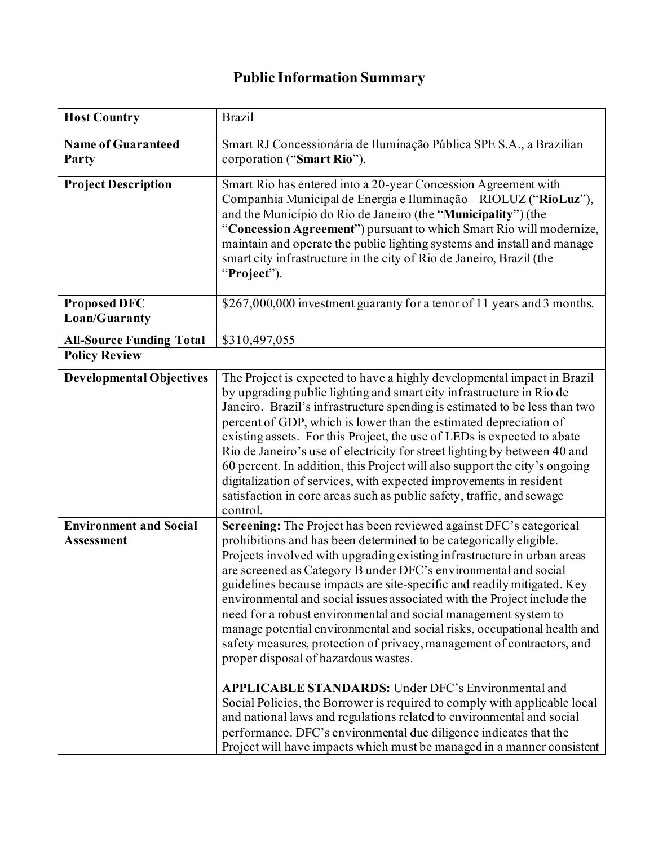## **Public Information Summary**

| <b>Host Country</b>                                | <b>Brazil</b>                                                                                                                                                                                                                                                                                                                                                                                                                                                                                                                                                                                                                                                                                                                                                                                                                                                                                                                                                                                                                                                                    |
|----------------------------------------------------|----------------------------------------------------------------------------------------------------------------------------------------------------------------------------------------------------------------------------------------------------------------------------------------------------------------------------------------------------------------------------------------------------------------------------------------------------------------------------------------------------------------------------------------------------------------------------------------------------------------------------------------------------------------------------------------------------------------------------------------------------------------------------------------------------------------------------------------------------------------------------------------------------------------------------------------------------------------------------------------------------------------------------------------------------------------------------------|
| <b>Name of Guaranteed</b><br>Party                 | Smart RJ Concessionária de Iluminação Pública SPE S.A., a Brazilian<br>corporation ("Smart Rio").                                                                                                                                                                                                                                                                                                                                                                                                                                                                                                                                                                                                                                                                                                                                                                                                                                                                                                                                                                                |
| <b>Project Description</b><br><b>Proposed DFC</b>  | Smart Rio has entered into a 20-year Concession Agreement with<br>Companhia Municipal de Energia e Iluminação - RIOLUZ ("RioLuz"),<br>and the Município do Rio de Janeiro (the "Municipality") (the<br>"Concession Agreement") pursuant to which Smart Rio will modernize,<br>maintain and operate the public lighting systems and install and manage<br>smart city infrastructure in the city of Rio de Janeiro, Brazil (the<br>"Project").<br>\$267,000,000 investment guaranty for a tenor of 11 years and 3 months.                                                                                                                                                                                                                                                                                                                                                                                                                                                                                                                                                          |
| Loan/Guaranty                                      |                                                                                                                                                                                                                                                                                                                                                                                                                                                                                                                                                                                                                                                                                                                                                                                                                                                                                                                                                                                                                                                                                  |
| <b>All-Source Funding Total</b>                    | \$310,497,055                                                                                                                                                                                                                                                                                                                                                                                                                                                                                                                                                                                                                                                                                                                                                                                                                                                                                                                                                                                                                                                                    |
| <b>Policy Review</b>                               |                                                                                                                                                                                                                                                                                                                                                                                                                                                                                                                                                                                                                                                                                                                                                                                                                                                                                                                                                                                                                                                                                  |
| <b>Developmental Objectives</b>                    | The Project is expected to have a highly developmental impact in Brazil<br>by upgrading public lighting and smart city infrastructure in Rio de<br>Janeiro. Brazil's infrastructure spending is estimated to be less than two<br>percent of GDP, which is lower than the estimated depreciation of<br>existing assets. For this Project, the use of LEDs is expected to abate<br>Rio de Janeiro's use of electricity for street lighting by between 40 and<br>60 percent. In addition, this Project will also support the city's ongoing<br>digitalization of services, with expected improvements in resident<br>satisfaction in core areas such as public safety, traffic, and sewage<br>control.                                                                                                                                                                                                                                                                                                                                                                              |
| <b>Environment and Social</b><br><b>Assessment</b> | Screening: The Project has been reviewed against DFC's categorical<br>prohibitions and has been determined to be categorically eligible.<br>Projects involved with upgrading existing infrastructure in urban areas<br>are screened as Category B under DFC's environmental and social<br>guidelines because impacts are site-specific and readily mitigated. Key<br>environmental and social issues associated with the Project include the<br>need for a robust environmental and social management system to<br>manage potential environmental and social risks, occupational health and<br>safety measures, protection of privacy, management of contractors, and<br>proper disposal of hazardous wastes.<br><b>APPLICABLE STANDARDS:</b> Under DFC's Environmental and<br>Social Policies, the Borrower is required to comply with applicable local<br>and national laws and regulations related to environmental and social<br>performance. DFC's environmental due diligence indicates that the<br>Project will have impacts which must be managed in a manner consistent |